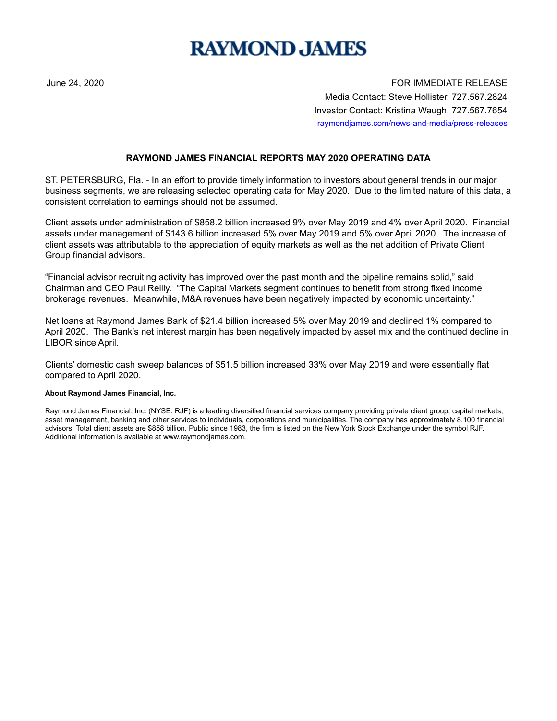## **RAYMOND JAMES**

June 24, 2020 FOR IMMEDIATE RELEASE Media Contact: Steve Hollister, 727.567.2824 Investor Contact: Kristina Waugh, 727.567.7654 raymondjames.com/news-and-media/press-releases

## **RAYMOND JAMES FINANCIAL REPORTS MAY 2020 OPERATING DATA**

ST. PETERSBURG, Fla. - In an effort to provide timely information to investors about general trends in our major business segments, we are releasing selected operating data for May 2020. Due to the limited nature of this data, a consistent correlation to earnings should not be assumed.

Client assets under administration of \$858.2 billion increased 9% over May 2019 and 4% over April 2020. Financial assets under management of \$143.6 billion increased 5% over May 2019 and 5% over April 2020. The increase of client assets was attributable to the appreciation of equity markets as well as the net addition of Private Client Group financial advisors.

"Financial advisor recruiting activity has improved over the past month and the pipeline remains solid," said Chairman and CEO Paul Reilly. "The Capital Markets segment continues to benefit from strong fixed income brokerage revenues. Meanwhile, M&A revenues have been negatively impacted by economic uncertainty."

Net loans at Raymond James Bank of \$21.4 billion increased 5% over May 2019 and declined 1% compared to April 2020. The Bank's net interest margin has been negatively impacted by asset mix and the continued decline in LIBOR since April.

Clients' domestic cash sweep balances of \$51.5 billion increased 33% over May 2019 and were essentially flat compared to April 2020.

## **About Raymond James Financial, Inc.**

Raymond James Financial, Inc. (NYSE: RJF) is a leading diversified financial services company providing private client group, capital markets, asset management, banking and other services to individuals, corporations and municipalities. The company has approximately 8,100 financial advisors. Total client assets are \$858 billion. Public since 1983, the firm is listed on the New York Stock Exchange under the symbol RJF. Additional information is available at www.raymondjames.com.